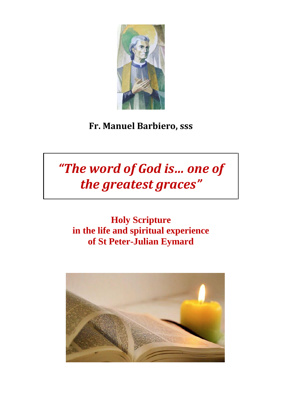

# **Fr. Manuel Barbiero, sss**

# *"The word of God is… one of the greatest graces"*

## **Holy Scripture in the life and spiritual experience of St Peter-Julian Eymard**

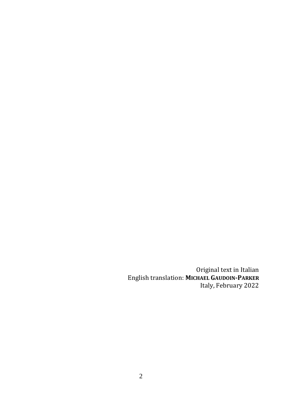Original text in Italian English translation: **MICHAEL GAUDOIN-PARKER** Italy, February 2022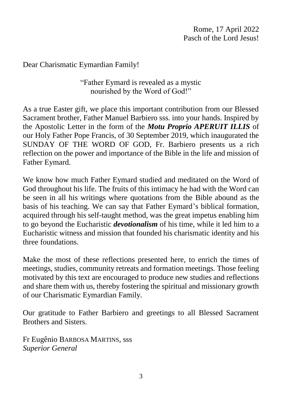Dear Charismatic Eymardian Family!

"Father Eymard is revealed as a mystic nourished by the Word of God!"

As a true Easter gift, we place this important contribution from our Blessed Sacrament brother, Father Manuel Barbiero sss. into your hands. Inspired by the Apostolic Letter in the form of the *Motu Proprio APERUIT ILLIS* of our Holy Father Pope Francis, of 30 September 2019, which inaugurated the SUNDAY OF THE WORD OF GOD, Fr. Barbiero presents us a rich reflection on the power and importance of the Bible in the life and mission of Father Eymard.

We know how much Father Eymard studied and meditated on the Word of God throughout his life. The fruits of this intimacy he had with the Word can be seen in all his writings where quotations from the Bible abound as the basis of his teaching. We can say that Father Eymard's biblical formation, acquired through his self-taught method, was the great impetus enabling him to go beyond the Eucharistic *devotionalism* of his time, while it led him to a Eucharistic witness and mission that founded his charismatic identity and his three foundations.

Make the most of these reflections presented here, to enrich the times of meetings, studies, community retreats and formation meetings. Those feeling motivated by this text are encouraged to produce new studies and reflections and share them with us, thereby fostering the spiritual and missionary growth of our Charismatic Eymardian Family.

Our gratitude to Father Barbiero and greetings to all Blessed Sacrament Brothers and Sisters.

Fr Eugênio BARBOSA MARTINS, sss *Superior General*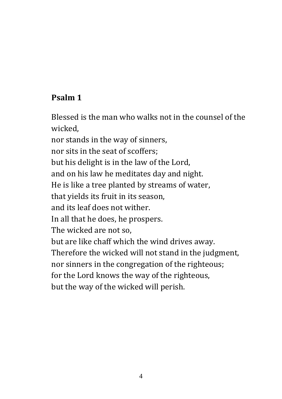#### **Psalm 1**

Blessed is the man who walks not in the counsel of the wicked,

nor stands in the way of sinners, nor sits in the seat of scoffers; but his delight is in the law of the Lord, and on his law he meditates day and night. He is like a tree planted by streams of water, that yields its fruit in its season, and its leaf does not wither. In all that he does, he prospers. The wicked are not so, but are like chaff which the wind drives away. Therefore the wicked will not stand in the judgment, nor sinners in the congregation of the righteous; for the Lord knows the way of the righteous, but the way of the wicked will perish.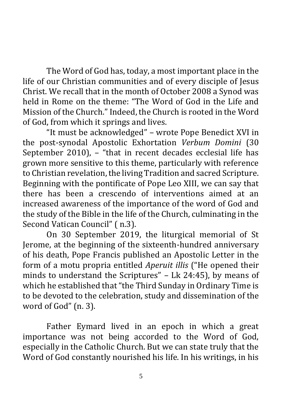The Word of God has, today, a most important place in the life of our Christian communities and of every disciple of Jesus Christ. We recall that in the month of October 2008 a Synod was held in Rome on the theme: "The Word of God in the Life and Mission of the Church." Indeed, the Church is rooted in the Word of God, from which it springs and lives.

"It must be acknowledged" – wrote Pope Benedict XVI in the post-synodal Apostolic Exhortation *Verbum Domini* (30 September 2010), – "that in recent decades ecclesial life has grown more sensitive to this theme, particularly with reference to Christian revelation, the living Tradition and sacred Scripture. Beginning with the pontificate of Pope Leo XIII, we can say that there has been a crescendo of interventions aimed at an increased awareness of the importance of the word of God and the study of the Bible in the life of the Church, culminating in the Second Vatican Council" ( n.3).

On 30 September 2019, the liturgical memorial of St Jerome, at the beginning of the sixteenth-hundred anniversary of his death, Pope Francis published an Apostolic Letter in the form of a motu propria entitled *Aperuit illis* ("He opened their minds to understand the Scriptures" – Lk 24:45), by means of which he established that "the Third Sunday in Ordinary Time is to be devoted to the celebration, study and dissemination of the word of God" (n. 3).

Father Eymard lived in an epoch in which a great importance was not being accorded to the Word of God, especially in the Catholic Church. But we can state truly that the Word of God constantly nourished his life. In his writings, in his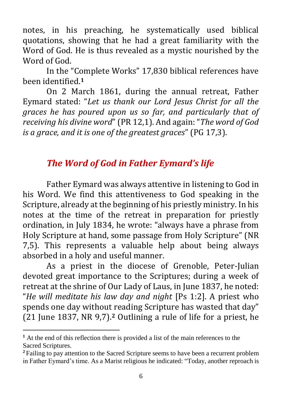notes, in his preaching, he systematically used biblical quotations, showing that he had a great familiarity with the Word of God. He is thus revealed as a mystic nourished by the Word of God.

In the "Complete Works" 17,830 biblical references have been identified.**<sup>1</sup>**

On 2 March 1861, during the annual retreat, Father Eymard stated: "*Let us thank our Lord Jesus Christ for all the graces he has poured upon us so far, and particularly that of receiving his divine word*" (PR 12,1). And again: "*The word of God is a grace, and it is one of the greatest graces*" (PG 17,3).

## *The Word of God in Father Eymard's life*

Father Eymard was always attentive in listening to God in his Word. We find this attentiveness to God speaking in the Scripture, already at the beginning of his priestly ministry. In his notes at the time of the retreat in preparation for priestly ordination, in July 1834, he wrote: "always have a phrase from Holy Scripture at hand, some passage from Holy Scripture" (NR 7,5). This represents a valuable help about being always absorbed in a holy and useful manner.

As a priest in the diocese of Grenoble, Peter-Julian devoted great importance to the Scriptures; during a week of retreat at the shrine of Our Lady of Laus, in June 1837, he noted: "*He will meditate his law day and night* [Ps 1:2]. A priest who spends one day without reading Scripture has wasted that day" (21 June 1837, NR 9,7).**<sup>2</sup>** Outlining a rule of life for a priest, he

**<sup>1</sup>** At the end of this reflection there is provided a list of the main references to the Sacred Scriptures.

**<sup>2</sup>** Failing to pay attention to the Sacred Scripture seems to have been a recurrent problem in Father Eymard's time. As a Marist religious he indicated: "Today, another reproach is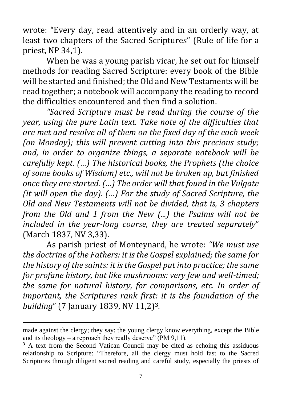wrote: "Every day, read attentively and in an orderly way, at least two chapters of the Sacred Scriptures" (Rule of life for a priest, NP 34,1).

When he was a young parish vicar, he set out for himself methods for reading Sacred Scripture: every book of the Bible will be started and finished; the Old and New Testaments will be read together; a notebook will accompany the reading to record the difficulties encountered and then find a solution.

*"Sacred Scripture must be read during the course of the year, using the pure Latin text. Take note of the difficulties that are met and resolve all of them on the fixed day of the each week (on Monday); this will prevent cutting into this precious study; and, in order to organize things, a separate notebook will be carefully kept. (…) The historical books, the Prophets (the choice of some books of Wisdom) etc., will not be broken up, but finished once they are started. (…) The order will that found in the Vulgate (it will open the day). (…) For the study of Sacred Scripture, the Old and New Testaments will not be divided, that is, 3 chapters from the Old and 1 from the New (...) the Psalms will not be included in the year-long course, they are treated separately*" (March 1837, NV 3,33).

As parish priest of Monteynard, he wrote: *"We must use the doctrine of the Fathers: it is the Gospel explained; the same for the history of the saints: it is the Gospel put into practice; the same for profane history, but like mushrooms: very few and well-timed; the same for natural history, for comparisons, etc. In order of important, the Scriptures rank first: it is the foundation of the building*" (7 January 1839, NV 11,2)**3**.

made against the clergy; they say: the young clergy know everything, except the Bible and its theology – a reproach they really deserve" (PM 9,11).

<sup>&</sup>lt;sup>3</sup> A text from the Second Vatican Council may be cited as echoing this assiduous relationship to Scripture: "Therefore, all the clergy must hold fast to the Sacred Scriptures through diligent sacred reading and careful study, especially the priests of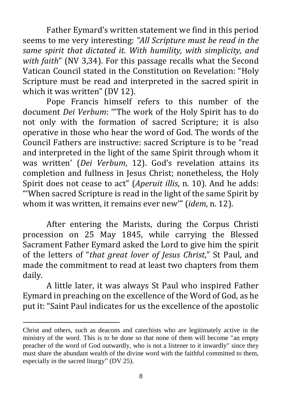Father Eymard's written statement we find in this period seems to me very interesting: *"All Scripture must be read in the same spirit that dictated it. With humility, with simplicity, and with faith*" (NV 3,34). For this passage recalls what the Second Vatican Council stated in the Constitution on Revelation: "Holy Scripture must be read and interpreted in the sacred spirit in which it was written" (DV 12).

Pope Francis himself refers to this number of the document *Dei Verbum*: '"The work of the Holy Spirit has to do not only with the formation of sacred Scripture; it is also operative in those who hear the word of God. The words of the Council Fathers are instructive: sacred Scripture is to be "read and interpreted in the light of the same Spirit through whom it was written' (*Dei Verbum*, 12). God's revelation attains its completion and fullness in Jesus Christ; nonetheless, the Holy Spirit does not cease to act" (*Aperuit illis*, n. 10). And he adds: "'When sacred Scripture is read in the light of the same Spirit by whom it was written, it remains ever new'" (*idem*, n. 12).

After entering the Marists, during the Corpus Christi procession on 25 May 1845, while carrying the Blessed Sacrament Father Eymard asked the Lord to give him the spirit of the letters of "*that great lover of Jesus Christ*," St Paul, and made the commitment to read at least two chapters from them daily.

A little later, it was always St Paul who inspired Father Eymard in preaching on the excellence of the Word of God, as he put it: "Saint Paul indicates for us the excellence of the apostolic

Christ and others, such as deacons and catechists who are legitimately active in the ministry of the word. This is to be done so that none of them will become "an empty preacher of the word of God outwardly, who is not a listener to it inwardly" since they must share the abundant wealth of the divine word with the faithful committed to them, especially in the sacred liturgy" (DV 25).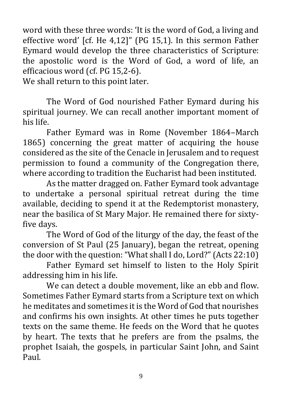word with these three words: 'It is the word of God, a living and effective word' [cf. He 4,12]" (PG 15,1). In this sermon Father Eymard would develop the three characteristics of Scripture: the apostolic word is the Word of God, a word of life, an efficacious word (cf. PG 15,2-6).

We shall return to this point later.

The Word of God nourished Father Eymard during his spiritual journey. We can recall another important moment of his life.

Father Eymard was in Rome (November 1864–March 1865) concerning the great matter of acquiring the house considered as the site of the Cenacle in Jerusalem and to request permission to found a community of the Congregation there, where according to tradition the Eucharist had been instituted.

As the matter dragged on. Father Eymard took advantage to undertake a personal spiritual retreat during the time available, deciding to spend it at the Redemptorist monastery, near the basilica of St Mary Major. He remained there for sixtyfive days.

The Word of God of the liturgy of the day, the feast of the conversion of St Paul (25 January), began the retreat, opening the door with the question: "What shall I do, Lord?" (Acts 22:10)

Father Eymard set himself to listen to the Holy Spirit addressing him in his life.

We can detect a double movement, like an ebb and flow. Sometimes Father Eymard starts from a Scripture text on which he meditates and sometimes it is the Word of God that nourishes and confirms his own insights. At other times he puts together texts on the same theme. He feeds on the Word that he quotes by heart. The texts that he prefers are from the psalms, the prophet Isaiah, the gospels, in particular Saint John, and Saint Paul.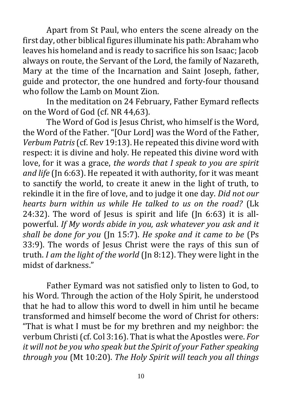Apart from St Paul, who enters the scene already on the first day, other biblical figures illuminate his path: Abraham who leaves his homeland and is ready to sacrifice his son Isaac; Jacob always on route, the Servant of the Lord, the family of Nazareth, Mary at the time of the Incarnation and Saint Joseph, father, guide and protector, the one hundred and forty-four thousand who follow the Lamb on Mount Zion.

In the meditation on 24 February, Father Eymard reflects on the Word of God (cf. NR 44,63).

The Word of God is Jesus Christ, who himself is the Word, the Word of the Father. "[Our Lord] was the Word of the Father, *Verbum Patris*(cf. Rev 19:13). He repeated this divine word with respect: it is divine and holy. He repeated this divine word with love, for it was a grace, *the words that I speak to you are spirit and life* (Jn 6:63). He repeated it with authority, for it was meant to sanctify the world, to create it anew in the light of truth, to rekindle it in the fire of love, and to judge it one day. *Did not our hearts burn within us while He talked to us on the road?* (Lk 24:32). The word of Jesus is spirit and life (Jn 6:63) it is allpowerful. *If My words abide in you, ask whatever you ask and it shall be done for you* (Jn 15:7). *He spoke and it came to be* (Ps 33:9). The words of Jesus Christ were the rays of this sun of truth. *I am the light of the world* (Jn 8:12). They were light in the midst of darkness."

Father Eymard was not satisfied only to listen to God, to his Word. Through the action of the Holy Spirit, he understood that he had to allow this word to dwell in him until he became transformed and himself become the word of Christ for others: "That is what I must be for my brethren and my neighbor: the verbum Christi (cf. Col 3:16). That is what the Apostles were. *For it will not be you who speak but the Spirit of your Father speaking through you* (Mt 10:20). *The Holy Spirit will teach you all things*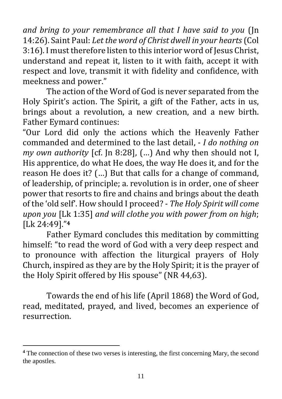*and bring to your remembrance all that I have said to you* (Jn 14:26). Saint Paul: *Let the word of Christ dwell in your hearts* (Col 3:16). I must therefore listen to this interior word of Jesus Christ, understand and repeat it, listen to it with faith, accept it with respect and love, transmit it with fidelity and confidence, with meekness and power."

The action of the Word of God is never separated from the Holy Spirit's action. The Spirit, a gift of the Father, acts in us, brings about a revolution, a new creation, and a new birth. Father Eymard continues:

"Our Lord did only the actions which the Heavenly Father commanded and determined to the last detail, - *I do nothing on my own authority* [cf. Jn 8:28], (…) And why then should not I, His apprentice, do what He does, the way He does it, and for the reason He does it? (…) But that calls for a change of command, of leadership, of principle; a. revolution is in order, one of sheer power that resorts to fire and chains and brings about the death of the 'old self'. How should I proceed? - *The Holy Spirit will come upon you* [Lk 1:35] *and will clothe you with power from on high*; [Lk 24:49]."**<sup>4</sup>**

Father Eymard concludes this meditation by committing himself: "to read the word of God with a very deep respect and to pronounce with affection the liturgical prayers of Holy Church, inspired as they are by the Holy Spirit; it is the prayer of the Holy Spirit offered by His spouse" (NR 44,63).

Towards the end of his life (April 1868) the Word of God, read, meditated, prayed, and lived, becomes an experience of resurrection.

**<sup>4</sup>** The connection of these two verses is interesting, the first concerning Mary, the second the apostles.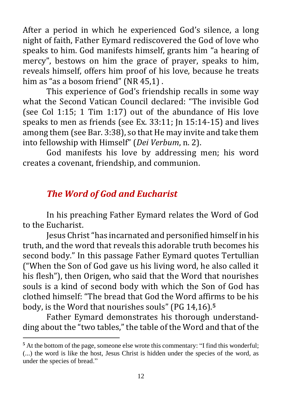After a period in which he experienced God's silence, a long night of faith, Father Eymard rediscovered the God of love who speaks to him. God manifests himself, grants him "a hearing of mercy", bestows on him the grace of prayer, speaks to him, reveals himself, offers him proof of his love, because he treats him as "as a bosom friend" (NR 45,1).

This experience of God's friendship recalls in some way what the Second Vatican Council declared: "The invisible God (see Col 1:15; 1 Tim 1:17) out of the abundance of His love speaks to men as friends (see Ex. 33:11; Jn 15:14-15) and lives among them (see Bar. 3:38), so that He may invite and take them into fellowship with Himself" (*Dei Verbum*, n. 2).

God manifests his love by addressing men; his word creates a covenant, friendship, and communion.

## *The Word of God and Eucharist*

In his preaching Father Eymard relates the Word of God to the Eucharist.

Jesus Christ"has incarnated and personified himself in his truth, and the word that reveals this adorable truth becomes his second body." In this passage Father Eymard quotes Tertullian ("When the Son of God gave us his living word, he also called it his flesh"), then Origen, who said that the Word that nourishes souls is a kind of second body with which the Son of God has clothed himself: "The bread that God the Word affirms to be his body, is the Word that nourishes souls" (PG 14,16). **5**

Father Eymard demonstrates his thorough understandding about the "two tables," the table of the Word and that of the

**<sup>5</sup>** At the bottom of the page, someone else wrote this commentary: "I find this wonderful; (...) the word is like the host, Jesus Christ is hidden under the species of the word, as under the species of bread."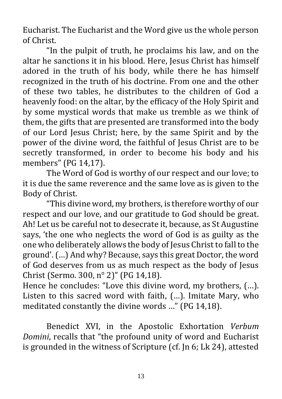Eucharist. The Eucharist and the Word give us the whole person of Christ.

"In the pulpit of truth, he proclaims his law, and on the altar he sanctions it in his blood. Here, Jesus Christ has himself adored in the truth of his body, while there he has himself recognized in the truth of his doctrine. From one and the other of these two tables, he distributes to the children of God a heavenly food: on the altar, by the efficacy of the Holy Spirit and by some mystical words that make us tremble as we think of them, the gifts that are presented are transformed into the body of our Lord Jesus Christ; here, by the same Spirit and by the power of the divine word, the faithful of Jesus Christ are to be secretly transformed, in order to become his body and his members" (PG 14,17).

The Word of God is worthy of our respect and our love; to it is due the same reverence and the same love as is given to the Body of Christ.

"This divine word, my brothers, is therefore worthy of our respect and our love, and our gratitude to God should be great. Ah! Let us be careful not to desecrate it, because, as St Augustine says, 'the one who neglects the word of God is as guilty as the one who deliberately allows the body of Jesus Christ to fall to the ground'. (…) And why? Because, says this great Doctor, the word of God deserves from us as much respect as the body of Jesus Christ (Sermo. 300, n° 2)" (PG 14,18).

Hence he concludes: "Love this divine word, my brothers, (…). Listen to this sacred word with faith, (…). Imitate Mary, who meditated constantly the divine words …" (PG 14,18).

Benedict XVI, in the Apostolic Exhortation *Verbum Domini*, recalls that "the profound unity of word and Eucharist is grounded in the witness of Scripture (cf. Jn 6; Lk 24), attested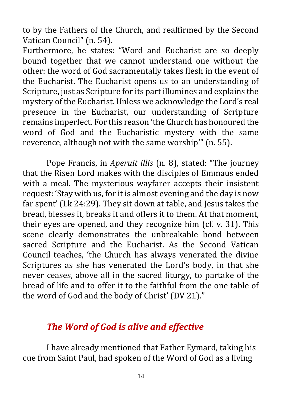to by the Fathers of the Church, and reaffirmed by the Second Vatican Council" (n. 54).

Furthermore, he states: "Word and Eucharist are so deeply bound together that we cannot understand one without the other: the word of God sacramentally takes flesh in the event of the Eucharist. The Eucharist opens us to an understanding of Scripture, just as Scripture for its part illumines and explains the mystery of the Eucharist. Unless we acknowledge the Lord's real presence in the Eucharist, our understanding of Scripture remains imperfect. For this reason 'the Church has honoured the word of God and the Eucharistic mystery with the same reverence, although not with the same worship'" (n. 55).

Pope Francis, in *Aperuit illis* (n. 8), stated: "The journey that the Risen Lord makes with the disciples of Emmaus ended with a meal. The mysterious wayfarer accepts their insistent request: 'Stay with us, for it is almost evening and the day is now far spent' (Lk 24:29). They sit down at table, and Jesus takes the bread, blesses it, breaks it and offers it to them. At that moment, their eyes are opened, and they recognize him (cf. v. 31). This scene clearly demonstrates the unbreakable bond between sacred Scripture and the Eucharist. As the Second Vatican Council teaches, 'the Church has always venerated the divine Scriptures as she has venerated the Lord's body, in that she never ceases, above all in the sacred liturgy, to partake of the bread of life and to offer it to the faithful from the one table of the word of God and the body of Christ' (DV 21)."

#### *The Word of God is alive and effective*

I have already mentioned that Father Eymard, taking his cue from Saint Paul, had spoken of the Word of God as a living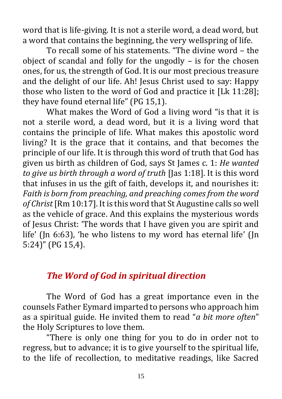word that is life-giving. It is not a sterile word, a dead word, but a word that contains the beginning, the very wellspring of life.

To recall some of his statements. "The divine word – the object of scandal and folly for the ungodly – is for the chosen ones, for us, the strength of God. It is our most precious treasure and the delight of our life. Ah! Jesus Christ used to say: Happy those who listen to the word of God and practice it [Lk 11:28]; they have found eternal life" (PG 15,1).

What makes the Word of God a living word "is that it is not a sterile word, a dead word, but it is a living word that contains the principle of life. What makes this apostolic word living? It is the grace that it contains, and that becomes the principle of our life. It is through this word of truth that God has given us birth as children of God, says St James c. 1: *He wanted to give us birth through a word of truth* [Jas 1:18]. It is this word that infuses in us the gift of faith, develops it, and nourishes it: *Faith is born from preaching, and preaching comes from the word of Christ* [Rm 10:17]. It is this word that St Augustine calls so well as the vehicle of grace. And this explains the mysterious words of Jesus Christ: 'The words that I have given you are spirit and life' (Jn 6:63), 'he who listens to my word has eternal life' (Jn 5:24)" (PG 15,4).

#### *The Word of God in spiritual direction*

The Word of God has a great importance even in the counsels Father Eymard imparted to persons who approach him as a spiritual guide. He invited them to read "*a bit more often*" the Holy Scriptures to love them.

"There is only one thing for you to do in order not to regress, but to advance; it is to give yourself to the spiritual life, to the life of recollection, to meditative readings, like Sacred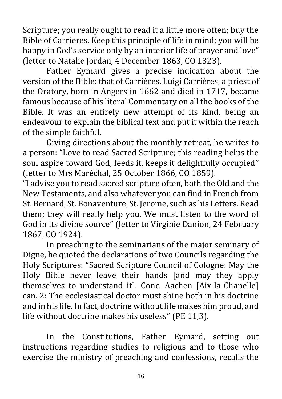Scripture; you really ought to read it a little more often; buy the Bible of Carrieres. Keep this principle of life in mind; you will be happy in God's service only by an interior life of prayer and love" (letter to Natalie Jordan, 4 December 1863, CO 1323).

Father Eymard gives a precise indication about the version of the Bible: that of Carrières. Luigi Carrières, a priest of the Oratory, born in Angers in 1662 and died in 1717, became famous because of his literal Commentary on all the books of the Bible. It was an entirely new attempt of its kind, being an endeavour to explain the biblical text and put it within the reach of the simple faithful.

Giving directions about the monthly retreat, he writes to a person: "Love to read Sacred Scripture; this reading helps the soul aspire toward God, feeds it, keeps it delightfully occupied" (letter to Mrs Maréchal, 25 October 1866, CO 1859).

"I advise you to read sacred scripture often, both the Old and the New Testaments, and also whatever you can find in French from St. Bernard, St. Bonaventure, St. Jerome, such as his Letters. Read them; they will really help you. We must listen to the word of God in its divine source" (letter to Virginie Danion, 24 February 1867, CO 1924).

In preaching to the seminarians of the major seminary of Digne, he quoted the declarations of two Councils regarding the Holy Scriptures: "Sacred Scripture Council of Cologne: May the Holy Bible never leave their hands [and may they apply themselves to understand it]. Conc. [Aachen \[Aix-la-Chapelle\]](https://en.wikipedia.org/wiki/Aachen) can. 2: The ecclesiastical doctor must shine both in his doctrine and in his life. In fact, doctrine without life makes him proud, and life without doctrine makes his useless" (PE 11,3).

In the Constitutions, Father Eymard, setting out instructions regarding studies to religious and to those who exercise the ministry of preaching and confessions, recalls the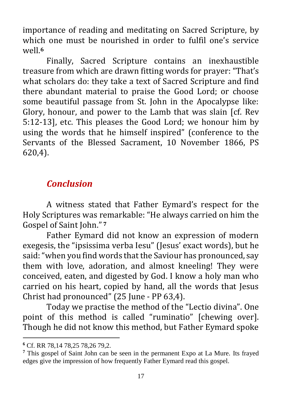importance of reading and meditating on Sacred Scripture, by which one must be nourished in order to fulfil one's service well. **6**

Finally, Sacred Scripture contains an inexhaustible treasure from which are drawn fitting words for prayer: "That's what scholars do: they take a text of Sacred Scripture and find there abundant material to praise the Good Lord; or choose some beautiful passage from St. John in the Apocalypse like: Glory, honour, and power to the Lamb that was slain [cf. Rev 5:12-13], etc. This pleases the Good Lord; we honour him by using the words that he himself inspired" (conference to the Servants of the Blessed Sacrament, 10 November 1866, PS 620,4).

### *Conclusion*

A witness stated that Father Eymard's respect for the Holy Scriptures was remarkable: "He always carried on him the Gospel of Saint John." **<sup>7</sup>**

Father Eymard did not know an expression of modern exegesis, the "ipsissima verba Iesu" (Jesus' exact words), but he said: "when you find words that the Saviour has pronounced, say them with love, adoration, and almost kneeling! They were conceived, eaten, and digested by God. I know a holy man who carried on his heart, copied by hand, all the words that Jesus Christ had pronounced" (25 June - PP 63,4).

Today we practise the method of the "Lectio divina". One point of this method is called "ruminatio" [chewing over]. Though he did not know this method, but Father Eymard spoke

**<sup>6</sup>** Cf. RR 78,14 78,25 78,26 79,2.

**<sup>7</sup>** This gospel of Saint John can be seen in the permanent Expo at La Mure. Its frayed edges give the impression of how frequently Father Eymard read this gospel.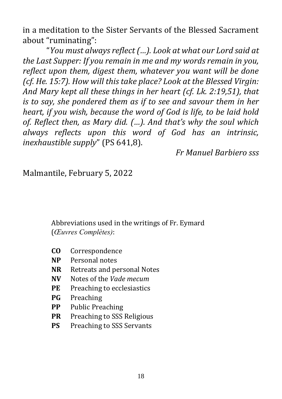in a meditation to the Sister Servants of the Blessed Sacrament about "ruminating":

"*You must always reflect (…). Look at what our Lord said at the Last Supper: If you remain in me and my words remain in you, reflect upon them, digest them, whatever you want will be done (cf. He. 15:7). How will this take place? Look at the Blessed Virgin: And Mary kept all these things in her heart (cf. Lk. 2:19,51), that is to say, she pondered them as if to see and savour them in her heart, if you wish, because the word of God is life, to be laid hold of. Reflect then, as Mary did. (…). And that's why the soul which always reflects upon this word of God has an intrinsic, inexhaustible supply*" (PS 641,8).

*Fr Manuel Barbiero sss*

Malmantile, February 5, 2022

Abbreviations used in the writings of Fr. Eymard (*Œuvres Complètes)*:

- **CO** Correspondence
- **NP** Personal notes
- **NR** Retreats and personal Notes
- **NV** Notes of the *Vade mecum*
- **PE** Preaching to ecclesiastics
- **PG** Preaching
- **PP** Public Preaching
- **PR** Preaching to SSS Religious
- **PS** Preaching to SSS Servants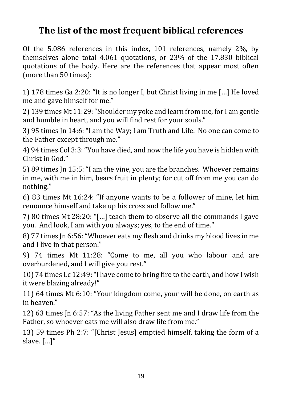## **The list of the most frequent biblical references**

Of the 5.086 references in this index, 101 references, namely 2%, by themselves alone total 4.061 quotations, or 23% of the 17.830 biblical quotations of the body. Here are the references that appear most often (more than 50 times):

1) 178 times Ga 2:20: "It is no longer I, but Christ living in me […] He loved me and gave himself for me."

2) 139 times Mt 11:29: "Shoulder my yoke and learn from me, for I am gentle and humble in heart, and you will find rest for your souls."

3) 95 times Jn 14:6: "I am the Way; I am Truth and Life. No one can come to the Father except through me."

4) 94 times Col 3:3: "You have died, and now the life you have is hidden with Christ in God."

5) 89 times Jn 15:5: "I am the vine, you are the branches. Whoever remains in me, with me in him, bears fruit in plenty; for cut off from me you can do nothing."

6) 83 times Mt 16:24: "If anyone wants to be a follower of mine, let him renounce himself and take up his cross and follow me."

7) 80 times Mt 28:20: "[…] teach them to observe all the commands I gave you. And look, I am with you always; yes, to the end of time."

8) 77 times Jn 6:56: "Whoever eats my flesh and drinks my blood lives in me and I live in that person."

9) 74 times Mt 11:28: "Come to me, all you who labour and are overburdened, and I will give you rest."

10) 74 times Lc 12:49: "I have come to bring fire to the earth, and how I wish it were blazing already!"

11) 64 times Mt 6:10: "Your kingdom come, your will be done, on earth as in heaven."

12) 63 times Jn 6:57: "As the living Father sent me and I draw life from the Father, so whoever eats me will also draw life from me."

13) 59 times Ph 2:7: "[Christ Jesus] emptied himself, taking the form of a slave. […]"